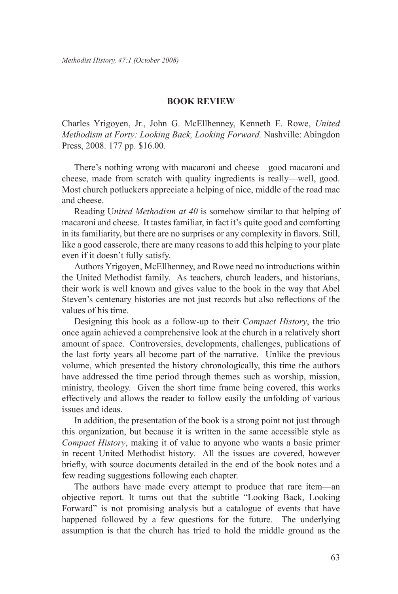## **Book Review**

Charles Yrigoyen, Jr., John G. McEllhenney, Kenneth E. Rowe, *United Methodism at Forty: Looking Back, Looking Forward.* Nashville: Abingdon Press, 2008. 177 pp. \$16.00.

There's nothing wrong with macaroni and cheese—good macaroni and cheese, made from scratch with quality ingredients is really—well, good. Most church potluckers appreciate a helping of nice, middle of the road mac and cheese.

Reading U*nited Methodism at 40* is somehow similar to that helping of macaroni and cheese. It tastes familiar, in fact it's quite good and comforting in its familiarity, but there are no surprises or any complexity in flavors. Still, like a good casserole, there are many reasons to add this helping to your plate even if it doesn't fully satisfy.

Authors Yrigoyen, McEllhenney, and Rowe need no introductions within the United Methodist family. As teachers, church leaders, and historians, their work is well known and gives value to the book in the way that Abel Steven's centenary histories are not just records but also reflections of the values of his time.

Designing this book as a follow-up to their C*ompact History*, the trio once again achieved a comprehensive look at the church in a relatively short amount of space. Controversies, developments, challenges, publications of the last forty years all become part of the narrative. Unlike the previous volume, which presented the history chronologically, this time the authors have addressed the time period through themes such as worship, mission, ministry, theology. Given the short time frame being covered, this works effectively and allows the reader to follow easily the unfolding of various issues and ideas.

In addition, the presentation of the book is a strong point not just through this organization, but because it is written in the same accessible style as *Compact History*, making it of value to anyone who wants a basic primer in recent United Methodist history. All the issues are covered, however briefly, with source documents detailed in the end of the book notes and a few reading suggestions following each chapter.

The authors have made every attempt to produce that rare item—an objective report. It turns out that the subtitle "Looking Back, Looking Forward" is not promising analysis but a catalogue of events that have happened followed by a few questions for the future. The underlying assumption is that the church has tried to hold the middle ground as the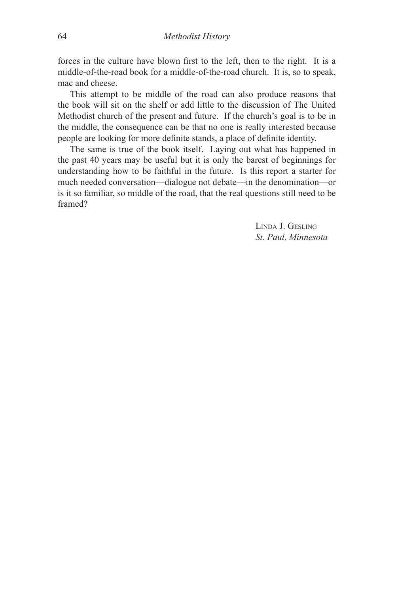forces in the culture have blown first to the left, then to the right. It is a middle-of-the-road book for a middle-of-the-road church. It is, so to speak, mac and cheese.

This attempt to be middle of the road can also produce reasons that the book will sit on the shelf or add little to the discussion of The United Methodist church of the present and future. If the church's goal is to be in the middle, the consequence can be that no one is really interested because people are looking for more definite stands, a place of definite identity.

The same is true of the book itself. Laying out what has happened in the past 40 years may be useful but it is only the barest of beginnings for understanding how to be faithful in the future. Is this report a starter for much needed conversation—dialogue not debate—in the denomination—or is it so familiar, so middle of the road, that the real questions still need to be framed?

> Linda J. Gesling *St. Paul, Minnesota*